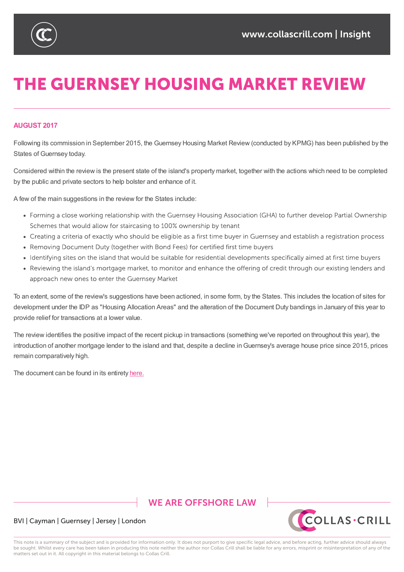

# **THE GUERNSEY HOUSING MARKET REVIEW**

## **AUGUST 2017**

Following its commission in September 2015, the Guernsey Housing Market Review (conducted by KPMG) has been published by the States of Guernsey today.

Considered within the review is the present state of the island's property market, together with the actions which need to be completed by the public and private sectors to help bolster and enhance of it.

A few of the main suggestions in the review for the States include:

- Forming a close working relationship with the Guernsey Housing Association (GHA) to further develop Partial Ownership Schemes that would allow for staircasing to 100% ownership by tenant
- Creating a criteria of exactly who should be eligible as a first time buyer in Guernsey and establish a registration process
- Removing Document Duty (together with Bond Fees) for certified first time buyers
- Identifying sites on the island that would be suitable for residential developments specifically aimed at first time buyers
- Reviewing the island's mortgage market, to monitor and enhance the offering of credit through our existing lenders and approach new ones to enter the Guernsey Market

To an extent, some of the review's suggestions have been actioned, in some form, by the States. This includes the location of sites for development under the IDP as "Housing Allocation Areas" and the alteration of the Document Duty bandings in January of this year to provide relief for transactions at a lower value.

The review identifies the positive impact of the recent pickup in transactions (something we've reported on throughout this year), the introduction of another mortgage lender to the island and that, despite a decline inGuernsey's average house price since 2015, prices remain comparatively high.

The document can be found in its entirety here.

# **WE ARE OFFSHORE LAW**



### BVI | Cayman | Guernsey | Jersey | London

This note is a summary of the subject and is provided for information only. It does not purport to give specific legal advice, and before acting, further advice should always be sought. Whilst every care has been taken in producing this note neither the author nor Collas Crill shall be liable for any errors, misprint or misinterpretation of any of the matters set out in it. All copyright in this material belongs to Collas Crill.